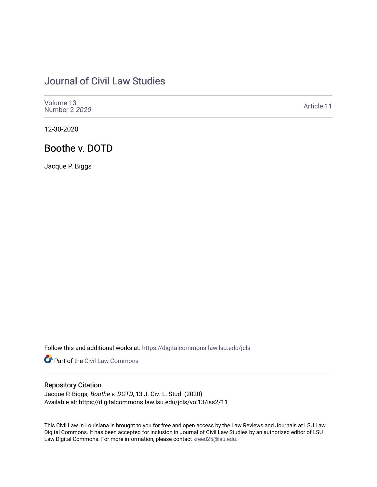# [Journal of Civil Law Studies](https://digitalcommons.law.lsu.edu/jcls)

| Volume 13<br>Number 2 2020 | Article 11 |
|----------------------------|------------|
|----------------------------|------------|

12-30-2020

# Boothe v. DOTD

Jacque P. Biggs

Follow this and additional works at: [https://digitalcommons.law.lsu.edu/jcls](https://digitalcommons.law.lsu.edu/jcls?utm_source=digitalcommons.law.lsu.edu%2Fjcls%2Fvol13%2Fiss2%2F11&utm_medium=PDF&utm_campaign=PDFCoverPages) 

Part of the [Civil Law Commons](http://network.bepress.com/hgg/discipline/835?utm_source=digitalcommons.law.lsu.edu%2Fjcls%2Fvol13%2Fiss2%2F11&utm_medium=PDF&utm_campaign=PDFCoverPages)

# Repository Citation

Jacque P. Biggs, Boothe v. DOTD, 13 J. Civ. L. Stud. (2020) Available at: https://digitalcommons.law.lsu.edu/jcls/vol13/iss2/11

This Civil Law in Louisiana is brought to you for free and open access by the Law Reviews and Journals at LSU Law Digital Commons. It has been accepted for inclusion in Journal of Civil Law Studies by an authorized editor of LSU Law Digital Commons. For more information, please contact [kreed25@lsu.edu](mailto:kreed25@lsu.edu).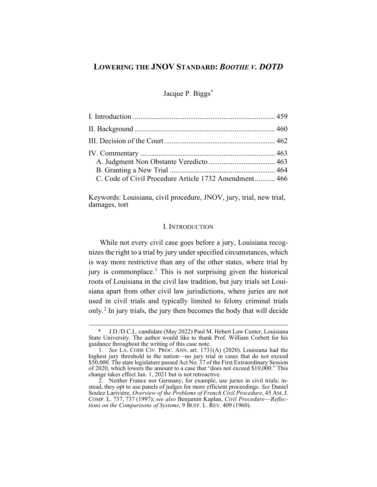# **LOWERING THE JNOV STANDARD:** *BOOTHE V. DOTD*

Jacque P. Biggs[\\*](#page-1-1)

| C. Code of Civil Procedure Article 1732 Amendment 466 |  |
|-------------------------------------------------------|--|

Keywords: Louisiana, civil procedure, JNOV, jury, trial, new trial, damages, tort

#### I. INTRODUCTION

<span id="page-1-0"></span>While not every civil case goes before a jury, Louisiana recognizes the right to a trial by jury under specified circumstances, which is way more restrictive than any of the other states, where trial by jury is commonplace.<sup>[1](#page-1-2)</sup> This is not surprising given the historical roots of Louisiana in the civil law tradition, but jury trials set Louisiana apart from other civil law jurisdictions, where juries are not used in civil trials and typically limited to felony criminal trials only.[2](#page-1-3) In jury trials, the jury then becomes the body that will decide

<span id="page-1-1"></span><sup>\*</sup> J.D./D.C.L. candidate (May 2022) Paul M. Hebert Law Center, Louisiana State University. The author would like to thank Prof. William Corbett for his guidance throughout the writing of this case note.

<span id="page-1-2"></span><sup>1.</sup> *See* LA. CODE CIV. PROC. ANN. art. 1731(A) (2020). Louisiana had the highest jury threshold in the nation—no jury trial in cases that do not exceed \$50,000. The state legislature passed Act No. 37 of the First Extraordinary Session of 2020, which lowers the amount to a case that "does not exceed \$10,000." This change takes effect Jan. 1, 2021 but is not retroactive.

<span id="page-1-3"></span><sup>2.</sup> Neither France nor Germany, for example, use juries in civil trials; instead, they opt to use panels of judges for more efficient proceedings. *See* Daniel Soulez Larivière, *Overview of the Problems of French Civil Procedure*, 45 AM. J. COMP. L. 737, 737 (1997); *see also* Benjamin Kaplan, *Civil Procedure*—*Reflections on the Comparisons of Systems*, 9 BUFF. L. REV. 409 (1960).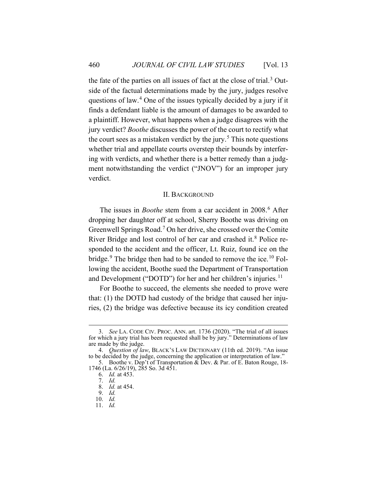the fate of the parties on all issues of fact at the close of trial. $3$  Outside of the factual determinations made by the jury, judges resolve questions of law.<sup>[4](#page-2-2)</sup> One of the issues typically decided by a jury if it finds a defendant liable is the amount of damages to be awarded to a plaintiff. However, what happens when a judge disagrees with the jury verdict? *Boothe* discusses the power of the court to rectify what the court sees as a mistaken verdict by the jury.<sup>[5](#page-2-3)</sup> This note questions whether trial and appellate courts overstep their bounds by interfering with verdicts, and whether there is a better remedy than a judgment notwithstanding the verdict ("JNOV") for an improper jury verdict.

#### II. BACKGROUND

<span id="page-2-0"></span>The issues in *Boothe* stem from a car accident in 2008.<sup>[6](#page-2-4)</sup> After dropping her daughter off at school, Sherry Boothe was driving on Greenwell Springs Road.<sup>[7](#page-2-5)</sup> On her drive, she crossed over the Comite River Bridge and lost control of her car and crashed it.<sup>[8](#page-2-6)</sup> Police responded to the accident and the officer, Lt. Ruiz, found ice on the bridge.<sup>[9](#page-2-7)</sup> The bridge then had to be sanded to remove the ice.<sup>[10](#page-2-8)</sup> Following the accident, Boothe sued the Department of Transportation and Development ("DOTD") for her and her children's injuries.<sup>[11](#page-2-9)</sup>

For Boothe to succeed, the elements she needed to prove were that: (1) the DOTD had custody of the bridge that caused her injuries, (2) the bridge was defective because its icy condition created

<span id="page-2-1"></span><sup>3.</sup> *See* LA. CODE CIV. PROC. ANN. art. 1736 (2020). "The trial of all issues for which a jury trial has been requested shall be by jury." Determinations of law are made by the judge.

<span id="page-2-2"></span><sup>4.</sup> *Question of law*, BLACK'S LAW DICTIONARY (11th ed. 2019). "An issue to be decided by the judge, concerning the application or interpretation of law."

<span id="page-2-7"></span><span id="page-2-6"></span><span id="page-2-5"></span><span id="page-2-4"></span><span id="page-2-3"></span><sup>5.</sup> Boothe v. Dep't of Transportation & Dev. & Par. of E. Baton Rouge, 18- 1746 (La. 6/26/19), 285 So. 3d 451.

<sup>6.</sup> *Id.* at 453.

<sup>7.</sup> *Id.*

<sup>8.</sup> *Id.* at 454.

<sup>9.</sup> *Id.*

<span id="page-2-8"></span><sup>10.</sup> *Id.*

<span id="page-2-9"></span><sup>11.</sup> *Id.*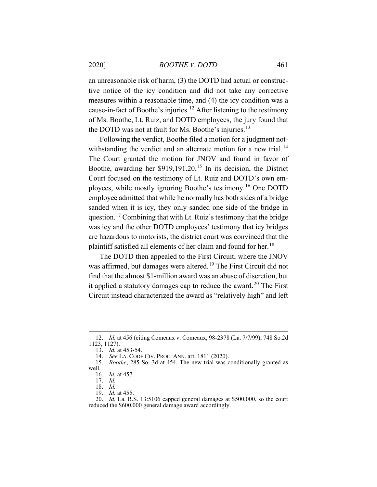#### 2020] *BOOTHE V. DOTD* 461

an unreasonable risk of harm, (3) the DOTD had actual or constructive notice of the icy condition and did not take any corrective measures within a reasonable time, and (4) the icy condition was a cause-in-fact of Boothe's injuries.[12](#page-3-0) After listening to the testimony of Ms. Boothe, Lt. Ruiz, and DOTD employees, the jury found that the DOTD was not at fault for Ms. Boothe's injuries.<sup>[13](#page-3-1)</sup>

<span id="page-3-10"></span><span id="page-3-9"></span>Following the verdict, Boothe filed a motion for a judgment not-withstanding the verdict and an alternate motion for a new trial.<sup>[14](#page-3-2)</sup> The Court granted the motion for JNOV and found in favor of Boothe, awarding her \$919,191.20.[15](#page-3-3) In its decision, the District Court focused on the testimony of Lt. Ruiz and DOTD's own employees, while mostly ignoring Boothe's testimony.[16](#page-3-4) One DOTD employee admitted that while he normally has both sides of a bridge sanded when it is icy, they only sanded one side of the bridge in question.[17](#page-3-5) Combining that with Lt. Ruiz's testimony that the bridge was icy and the other DOTD employees' testimony that icy bridges are hazardous to motorists, the district court was convinced that the plaintiff satisfied all elements of her claim and found for her.<sup>[18](#page-3-6)</sup>

The DOTD then appealed to the First Circuit, where the JNOV was affirmed, but damages were altered.<sup>[19](#page-3-7)</sup> The First Circuit did not find that the almost \$1-million award was an abuse of discretion, but it applied a statutory damages cap to reduce the award.<sup>[20](#page-3-8)</sup> The First Circuit instead characterized the award as "relatively high" and left

<span id="page-3-0"></span><sup>12.</sup> *Id.* at 456 (citing Comeaux v. Comeaux, 98-2378 (La. 7/7/99), 748 So.2d 1123, 1127).

<sup>13.</sup> *Id.* at 453-54.

<sup>14.</sup> *See* LA. CODE CIV. PROC. ANN. art. 1811 (2020).

<span id="page-3-5"></span><span id="page-3-4"></span><span id="page-3-3"></span><span id="page-3-2"></span><span id="page-3-1"></span><sup>15.</sup> *Boothe*, 285 So. 3d at 454. The new trial was conditionally granted as well.

<sup>16.</sup> *Id.* at 457.

<sup>17.</sup> *Id.*

<sup>18.</sup> *Id.*

<sup>19.</sup> *Id.* at 455.

<span id="page-3-8"></span><span id="page-3-7"></span><span id="page-3-6"></span><sup>20.</sup> *Id.* La. R.S. 13:5106 capped general damages at \$500,000, so the court reduced the \$600,000 general damage award accordingly.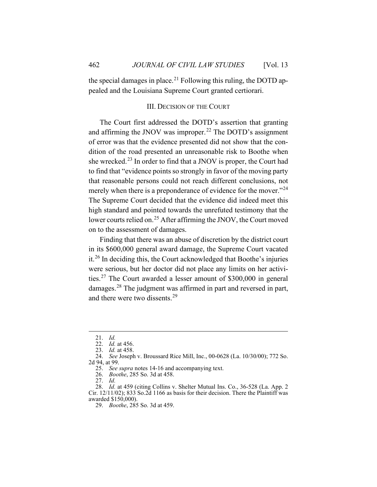<span id="page-4-0"></span>the special damages in place.<sup>[21](#page-4-1)</sup> Following this ruling, the DOTD appealed and the Louisiana Supreme Court granted certiorari.

### III. DECISION OF THE COURT

The Court first addressed the DOTD's assertion that granting and affirming the JNOV was improper.<sup>[22](#page-4-2)</sup> The DOTD's assignment of error was that the evidence presented did not show that the condition of the road presented an unreasonable risk to Boothe when she wrecked.<sup>[23](#page-4-3)</sup> In order to find that a JNOV is proper, the Court had to find that "evidence points so strongly in favor of the moving party that reasonable persons could not reach different conclusions, not merely when there is a preponderance of evidence for the mover."<sup>[24](#page-4-4)</sup> The Supreme Court decided that the evidence did indeed meet this high standard and pointed towards the unrefuted testimony that the lower courts relied on.<sup>[25](#page-4-5)</sup> After affirming the JNOV, the Court moved on to the assessment of damages.

Finding that there was an abuse of discretion by the district court in its \$600,000 general award damage, the Supreme Court vacated it.[26](#page-4-6) In deciding this, the Court acknowledged that Boothe's injuries were serious, but her doctor did not place any limits on her activities.[27](#page-4-7) The Court awarded a lesser amount of \$300,000 in general damages.[28](#page-4-8) The judgment was affirmed in part and reversed in part, and there were two dissents.[29](#page-4-9)

<sup>21.</sup> *Id.*

<sup>22.</sup> *Id.* at 456.

<sup>23.</sup> *Id.* at 458.

<span id="page-4-5"></span><span id="page-4-4"></span><span id="page-4-3"></span><span id="page-4-2"></span><span id="page-4-1"></span><sup>24.</sup> *See* Joseph v. Broussard Rice Mill, Inc., 00-0628 (La. 10/30/00); 772 So. 2d 94, at 99.

<sup>25.</sup> *See supra* note[s 14](#page-3-9)[-16](#page-3-10) and accompanying text.

<sup>26.</sup> *Boothe*, 285 So. 3d at 458.

<sup>27.</sup> *Id.*

<span id="page-4-9"></span><span id="page-4-8"></span><span id="page-4-7"></span><span id="page-4-6"></span><sup>28.</sup> *Id.* at 459 (citing Collins v. Shelter Mutual Ins. Co., 36-528 (La. App. 2 Cir. 12/11/02); 833 So.2d 1166 as basis for their decision. There the Plaintiff was awarded \$150,000).

<sup>29.</sup> *Boothe*, 285 So. 3d at 459.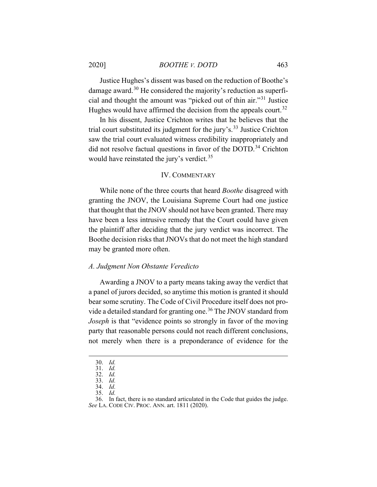2020] *BOOTHE V. DOTD* 463

Justice Hughes's dissent was based on the reduction of Boothe's damage award.<sup>[30](#page-5-2)</sup> He considered the majority's reduction as superficial and thought the amount was "picked out of thin air."[31](#page-5-3) Justice Hughes would have affirmed the decision from the appeals court.<sup>[32](#page-5-4)</sup>

In his dissent, Justice Crichton writes that he believes that the trial court substituted its judgment for the jury's.<sup>[33](#page-5-5)</sup> Justice Crichton saw the trial court evaluated witness credibility inappropriately and did not resolve factual questions in favor of the DOTD.<sup>[34](#page-5-6)</sup> Crichton would have reinstated the jury's verdict.<sup>[35](#page-5-7)</sup>

#### IV. COMMENTARY

<span id="page-5-0"></span>While none of the three courts that heard *Boothe* disagreed with granting the JNOV, the Louisiana Supreme Court had one justice that thought that the JNOV should not have been granted. There may have been a less intrusive remedy that the Court could have given the plaintiff after deciding that the jury verdict was incorrect. The Boothe decision risks that JNOVs that do not meet the high standard may be granted more often.

#### <span id="page-5-1"></span>*A. Judgment Non Obstante Veredicto*

Awarding a JNOV to a party means taking away the verdict that a panel of jurors decided, so anytime this motion is granted it should bear some scrutiny. The Code of Civil Procedure itself does not pro-vide a detailed standard for granting one.<sup>[36](#page-5-8)</sup> The JNOV standard from *Joseph* is that "evidence points so strongly in favor of the moving party that reasonable persons could not reach different conclusions, not merely when there is a preponderance of evidence for the

<sup>30.</sup> *Id.*

<span id="page-5-2"></span><sup>31.</sup> *Id.*

<sup>32.</sup> *Id.*

<span id="page-5-3"></span><sup>33.</sup> *Id.* 34. *Id.*

<sup>35.</sup> *Id.*

<span id="page-5-8"></span><span id="page-5-7"></span><span id="page-5-6"></span><span id="page-5-5"></span><span id="page-5-4"></span><sup>36.</sup> In fact, there is no standard articulated in the Code that guides the judge. *See* LA. CODE CIV. PROC. ANN. art. 1811 (2020).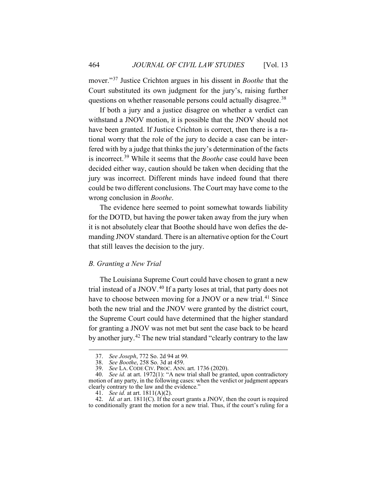mover."[37](#page-6-1) Justice Crichton argues in his dissent in *Boothe* that the Court substituted its own judgment for the jury's, raising further questions on whether reasonable persons could actually disagree.<sup>[38](#page-6-2)</sup>

If both a jury and a justice disagree on whether a verdict can withstand a JNOV motion, it is possible that the JNOV should not have been granted. If Justice Crichton is correct, then there is a rational worry that the role of the jury to decide a case can be interfered with by a judge that thinks the jury's determination of the facts is incorrect.[39](#page-6-3) While it seems that the *Boothe* case could have been decided either way, caution should be taken when deciding that the jury was incorrect. Different minds have indeed found that there could be two different conclusions. The Court may have come to the wrong conclusion in *Boothe*.

The evidence here seemed to point somewhat towards liability for the DOTD, but having the power taken away from the jury when it is not absolutely clear that Boothe should have won defies the demanding JNOV standard. There is an alternative option for the Court that still leaves the decision to the jury.

### <span id="page-6-0"></span>*B. Granting a New Trial*

The Louisiana Supreme Court could have chosen to grant a new trial instead of a JNOV.<sup>[40](#page-6-4)</sup> If a party loses at trial, that party does not have to choose between moving for a JNOV or a new trial.<sup>[41](#page-6-5)</sup> Since both the new trial and the JNOV were granted by the district court, the Supreme Court could have determined that the higher standard for granting a JNOV was not met but sent the case back to be heard by another jury.<sup>[42](#page-6-6)</sup> The new trial standard "clearly contrary to the law

<sup>37.</sup> *See Joseph*, 772 So. 2d 94 at 99*.*

<sup>38.</sup> *See Boothe*, 258 So. 3d at 459.

<sup>39.</sup> *See* LA. CODE CIV. PROC. ANN. art. 1736 (2020).

<span id="page-6-4"></span><span id="page-6-3"></span><span id="page-6-2"></span><span id="page-6-1"></span><sup>40.</sup> *See id.* at art. 1972(1): "A new trial shall be granted, upon contradictory motion of any party, in the following cases: when the verdict or judgment appears clearly contrary to the law and the evidence."

<sup>41.</sup> *See id.* at art. 1811(A)(2).

<span id="page-6-6"></span><span id="page-6-5"></span><sup>42.</sup> *Id. at* art. 1811(C). If the court grants a JNOV, then the court is required to conditionally grant the motion for a new trial. Thus, if the court's ruling for a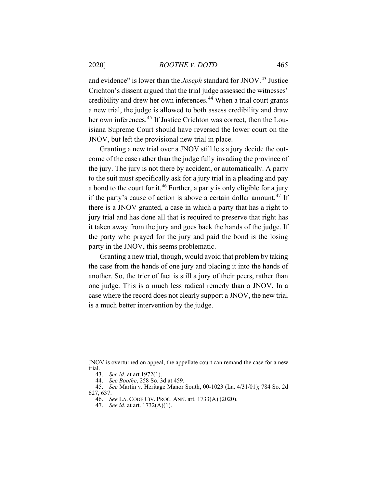and evidence" is lower than the *Joseph* standard for JNOV.<sup>[43](#page-7-0)</sup> Justice Crichton's dissent argued that the trial judge assessed the witnesses' credibility and drew her own inferences.<sup>[44](#page-7-1)</sup> When a trial court grants a new trial, the judge is allowed to both assess credibility and draw her own inferences.<sup>[45](#page-7-2)</sup> If Justice Crichton was correct, then the Louisiana Supreme Court should have reversed the lower court on the JNOV, but left the provisional new trial in place.

Granting a new trial over a JNOV still lets a jury decide the outcome of the case rather than the judge fully invading the province of the jury. The jury is not there by accident, or automatically. A party to the suit must specifically ask for a jury trial in a pleading and pay a bond to the court for it.<sup>[46](#page-7-3)</sup> Further, a party is only eligible for a jury if the party's cause of action is above a certain dollar amount.<sup>[47](#page-7-4)</sup> If there is a JNOV granted, a case in which a party that has a right to jury trial and has done all that is required to preserve that right has it taken away from the jury and goes back the hands of the judge. If the party who prayed for the jury and paid the bond is the losing party in the JNOV, this seems problematic.

Granting a new trial, though, would avoid that problem by taking the case from the hands of one jury and placing it into the hands of another. So, the trier of fact is still a jury of their peers, rather than one judge. This is a much less radical remedy than a JNOV. In a case where the record does not clearly support a JNOV, the new trial is a much better intervention by the judge.

JNOV is overturned on appeal, the appellate court can remand the case for a new trial.

<sup>43.</sup> *See id.* at art.1972(1).

<sup>44.</sup> *See Boothe*, 258 So. 3d at 459.

<span id="page-7-4"></span><span id="page-7-3"></span><span id="page-7-2"></span><span id="page-7-1"></span><span id="page-7-0"></span><sup>45.</sup> *See* Martin v. Heritage Manor South, 00-1023 (La. 4/31/01); 784 So. 2d 627, 637.

<sup>46.</sup> *See* LA. CODE CIV. PROC. ANN. art. 1733(A) (2020).

<sup>47.</sup> *See id.* at art. 1732(A)(1).